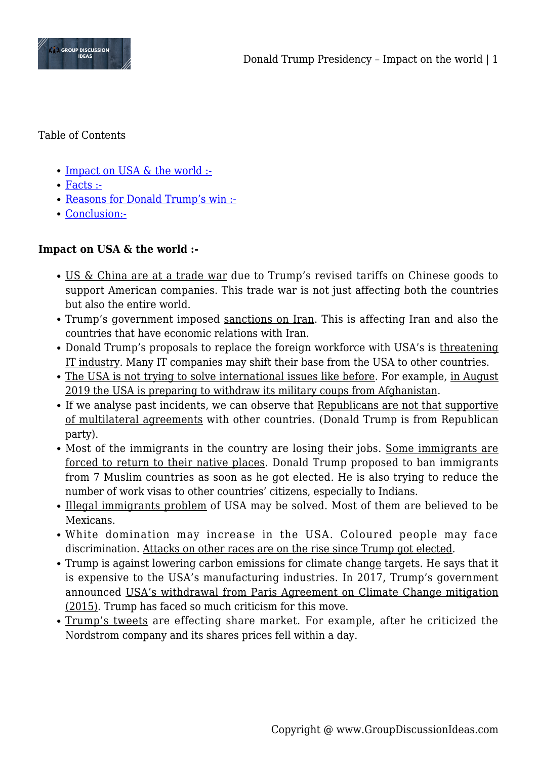

Table of Contents

- [Impact on USA & the world :-](#page--1-0)
- [Facts :-](#page--1-0)
- [Reasons for Donald Trump's win :-](#page--1-0)
- [Conclusion:-](#page--1-0)

# **Impact on USA & the world :-**

- US & China are at a trade war due to Trump's revised tariffs on Chinese goods to support American companies. This trade war is not just affecting both the countries but also the entire world.
- Trump's government imposed sanctions on Iran. This is affecting Iran and also the countries that have economic relations with Iran.
- Donald Trump's proposals to replace the foreign workforce with USA's is threatening IT industry. Many IT companies may shift their base from the USA to other countries.
- The USA is not trying to solve international issues like before. For example, in August 2019 the USA is preparing to withdraw its military coups from Afghanistan.
- If we analyse past incidents, we can observe that Republicans are not that supportive of multilateral agreements with other countries. (Donald Trump is from Republican party).
- Most of the immigrants in the country are losing their jobs. Some immigrants are forced to return to their native places. Donald Trump proposed to ban immigrants from 7 Muslim countries as soon as he got elected. He is also trying to reduce the number of work visas to other countries' citizens, especially to Indians.
- Illegal immigrants problem of USA may be solved. Most of them are believed to be Mexicans.
- White domination may increase in the USA. Coloured people may face discrimination. Attacks on other races are on the rise since Trump got elected.
- Trump is against lowering carbon emissions for climate change targets. He says that it is expensive to the USA's manufacturing industries. In 2017, Trump's government announced USA's withdrawal from Paris Agreement on Climate Change mitigation (2015). Trump has faced so much criticism for this move.
- Trump's tweets are effecting share market. For example, after he criticized the Nordstrom company and its shares prices fell within a day.